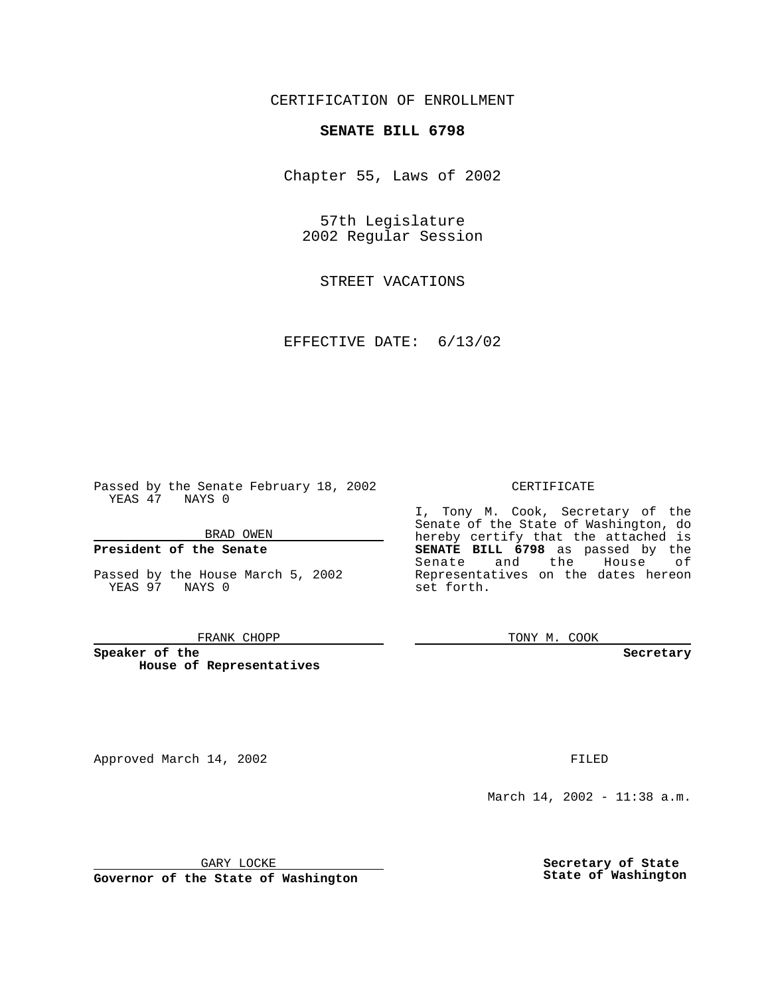CERTIFICATION OF ENROLLMENT

# **SENATE BILL 6798**

Chapter 55, Laws of 2002

57th Legislature 2002 Regular Session

STREET VACATIONS

EFFECTIVE DATE: 6/13/02

Passed by the Senate February 18, 2002 YEAS 47 NAYS 0

BRAD OWEN

### **President of the Senate**

Passed by the House March 5, 2002 YEAS 97 NAYS 0

#### FRANK CHOPP

**Speaker of the House of Representatives**

Approved March 14, 2002 **FILED** 

### CERTIFICATE

I, Tony M. Cook, Secretary of the Senate of the State of Washington, do hereby certify that the attached is **SENATE BILL 6798** as passed by the Senate and the House of Representatives on the dates hereon set forth.

TONY M. COOK

**Secretary**

March 14, 2002 - 11:38 a.m.

GARY LOCKE

**Governor of the State of Washington**

**Secretary of State State of Washington**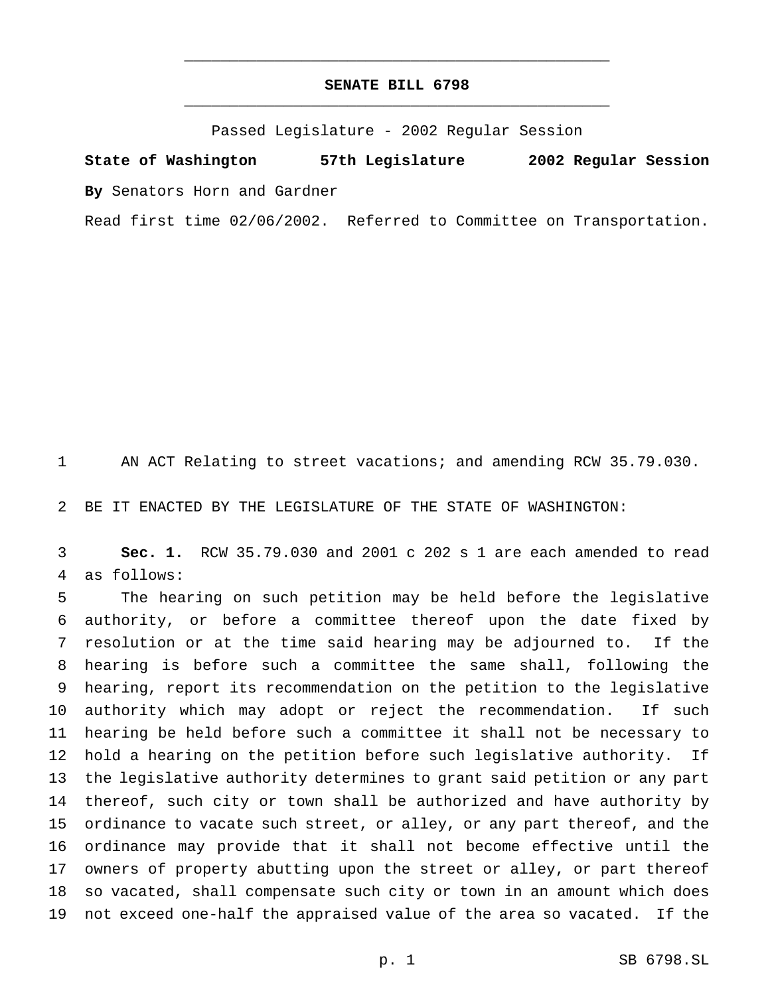## **SENATE BILL 6798** \_\_\_\_\_\_\_\_\_\_\_\_\_\_\_\_\_\_\_\_\_\_\_\_\_\_\_\_\_\_\_\_\_\_\_\_\_\_\_\_\_\_\_\_\_\_\_

\_\_\_\_\_\_\_\_\_\_\_\_\_\_\_\_\_\_\_\_\_\_\_\_\_\_\_\_\_\_\_\_\_\_\_\_\_\_\_\_\_\_\_\_\_\_\_

Passed Legislature - 2002 Regular Session

**State of Washington 57th Legislature 2002 Regular Session By** Senators Horn and Gardner

Read first time 02/06/2002. Referred to Committee on Transportation.

AN ACT Relating to street vacations; and amending RCW 35.79.030.

BE IT ENACTED BY THE LEGISLATURE OF THE STATE OF WASHINGTON:

 **Sec. 1.** RCW 35.79.030 and 2001 c 202 s 1 are each amended to read as follows:

 The hearing on such petition may be held before the legislative authority, or before a committee thereof upon the date fixed by resolution or at the time said hearing may be adjourned to. If the hearing is before such a committee the same shall, following the hearing, report its recommendation on the petition to the legislative authority which may adopt or reject the recommendation. If such hearing be held before such a committee it shall not be necessary to hold a hearing on the petition before such legislative authority. If the legislative authority determines to grant said petition or any part thereof, such city or town shall be authorized and have authority by ordinance to vacate such street, or alley, or any part thereof, and the ordinance may provide that it shall not become effective until the owners of property abutting upon the street or alley, or part thereof so vacated, shall compensate such city or town in an amount which does not exceed one-half the appraised value of the area so vacated. If the